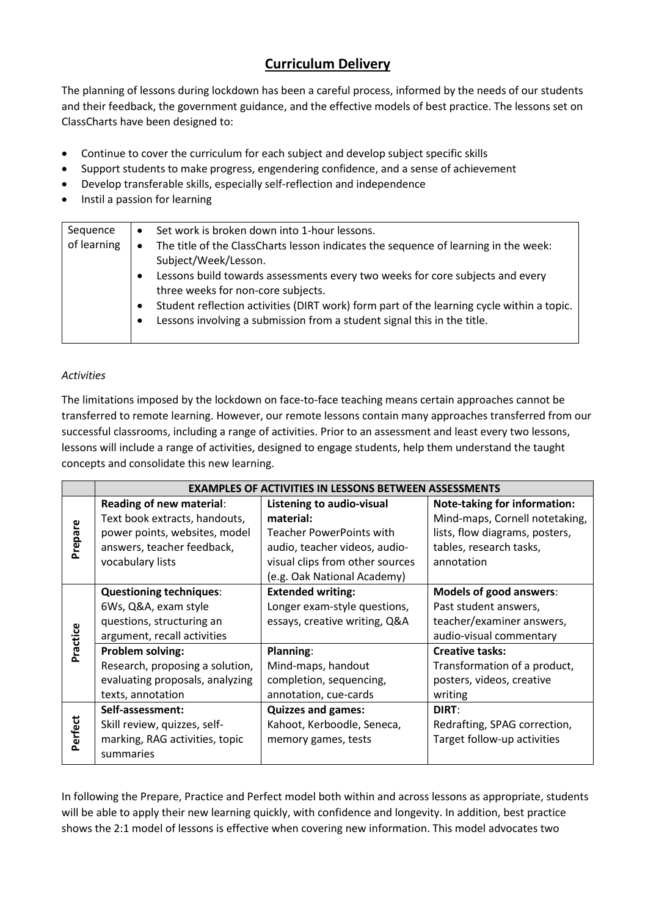# **Curriculum Delivery**

The planning of lessons during lockdown has been a careful process, informed by the needs of our students and their feedback, the government guidance, and the effective models of best practice. The lessons set on ClassCharts have been designed to:

- Continue to cover the curriculum for each subject and develop subject specific skills
- Support students to make progress, engendering confidence, and a sense of achievement
- Develop transferable skills, especially self-reflection and independence
- Instil a passion for learning

| Sequence<br>of learning | $\bullet$<br>$\bullet$<br>$\bullet$ | Set work is broken down into 1-hour lessons.<br>The title of the ClassCharts lesson indicates the sequence of learning in the week:<br>Subject/Week/Lesson.<br>Lessons build towards assessments every two weeks for core subjects and every |
|-------------------------|-------------------------------------|----------------------------------------------------------------------------------------------------------------------------------------------------------------------------------------------------------------------------------------------|
|                         | ٠<br>$\bullet$                      | three weeks for non-core subjects.<br>Student reflection activities (DIRT work) form part of the learning cycle within a topic.<br>Lessons involving a submission from a student signal this in the title.                                   |
|                         |                                     |                                                                                                                                                                                                                                              |

# *Activities*

The limitations imposed by the lockdown on face-to-face teaching means certain approaches cannot be transferred to remote learning. However, our remote lessons contain many approaches transferred from our successful classrooms, including a range of activities. Prior to an assessment and least every two lessons, lessons will include a range of activities, designed to engage students, help them understand the taught concepts and consolidate this new learning.

|          | <b>EXAMPLES OF ACTIVITIES IN LESSONS BETWEEN ASSESSMENTS</b> |                                 |                                |  |  |
|----------|--------------------------------------------------------------|---------------------------------|--------------------------------|--|--|
|          | Reading of new material:                                     | Listening to audio-visual       | Note-taking for information:   |  |  |
|          | Text book extracts, handouts,                                | material:                       | Mind-maps, Cornell notetaking, |  |  |
| Prepare  | power points, websites, model                                | Teacher PowerPoints with        | lists, flow diagrams, posters, |  |  |
|          | answers, teacher feedback,                                   | audio, teacher videos, audio-   | tables, research tasks,        |  |  |
|          | vocabulary lists                                             | visual clips from other sources | annotation                     |  |  |
|          |                                                              | (e.g. Oak National Academy)     |                                |  |  |
|          | <b>Questioning techniques:</b>                               | <b>Extended writing:</b>        | <b>Models of good answers:</b> |  |  |
|          | 6Ws, Q&A, exam style                                         | Longer exam-style questions,    | Past student answers,          |  |  |
|          | questions, structuring an                                    | essays, creative writing, Q&A   | teacher/examiner answers,      |  |  |
| Practice | argument, recall activities                                  |                                 | audio-visual commentary        |  |  |
|          | <b>Problem solving:</b>                                      | Planning:                       | <b>Creative tasks:</b>         |  |  |
|          | Research, proposing a solution,                              | Mind-maps, handout              | Transformation of a product,   |  |  |
|          | evaluating proposals, analyzing                              | completion, sequencing,         | posters, videos, creative      |  |  |
|          | texts, annotation                                            | annotation, cue-cards           | writing                        |  |  |
|          | Self-assessment:                                             | <b>Quizzes and games:</b>       | DIRT:                          |  |  |
| Perfect  | Skill review, quizzes, self-                                 | Kahoot, Kerboodle, Seneca,      | Redrafting, SPAG correction,   |  |  |
|          | marking, RAG activities, topic                               | memory games, tests             | Target follow-up activities    |  |  |
|          | summaries                                                    |                                 |                                |  |  |

In following the Prepare, Practice and Perfect model both within and across lessons as appropriate, students will be able to apply their new learning quickly, with confidence and longevity. In addition, best practice shows the 2:1 model of lessons is effective when covering new information. This model advocates two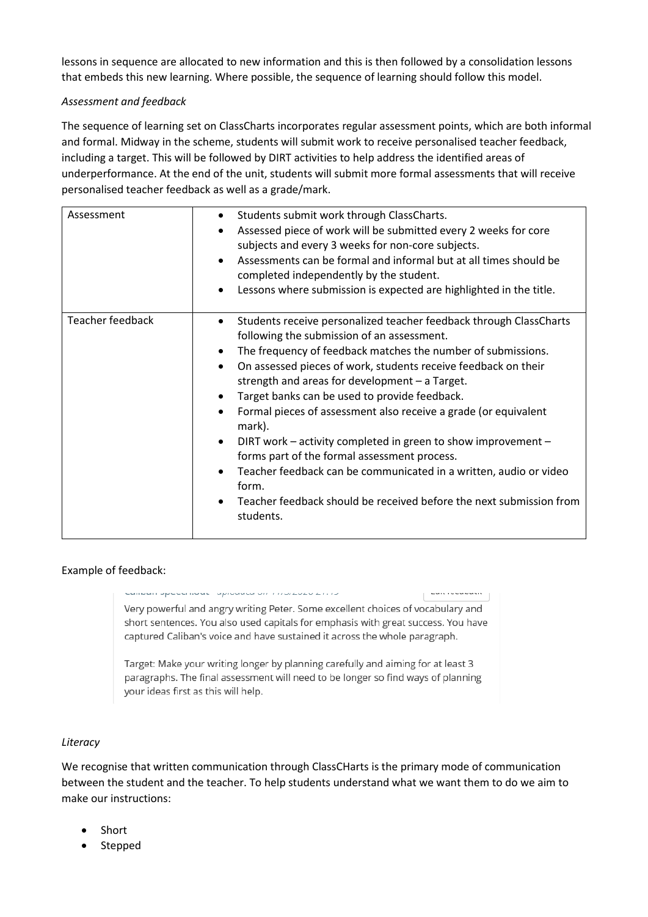lessons in sequence are allocated to new information and this is then followed by a consolidation lessons that embeds this new learning. Where possible, the sequence of learning should follow this model.

# *Assessment and feedback*

The sequence of learning set on ClassCharts incorporates regular assessment points, which are both informal and formal. Midway in the scheme, students will submit work to receive personalised teacher feedback, including a target. This will be followed by DIRT activities to help address the identified areas of underperformance. At the end of the unit, students will submit more formal assessments that will receive personalised teacher feedback as well as a grade/mark.

| Assessment       | Students submit work through ClassCharts.<br>٠<br>Assessed piece of work will be submitted every 2 weeks for core<br>subjects and every 3 weeks for non-core subjects.<br>Assessments can be formal and informal but at all times should be<br>completed independently by the student.<br>Lessons where submission is expected are highlighted in the title.                                                                                                                                                                                                                                                                                                                                                                         |
|------------------|--------------------------------------------------------------------------------------------------------------------------------------------------------------------------------------------------------------------------------------------------------------------------------------------------------------------------------------------------------------------------------------------------------------------------------------------------------------------------------------------------------------------------------------------------------------------------------------------------------------------------------------------------------------------------------------------------------------------------------------|
| Teacher feedback | Students receive personalized teacher feedback through ClassCharts<br>$\bullet$<br>following the submission of an assessment.<br>The frequency of feedback matches the number of submissions.<br>On assessed pieces of work, students receive feedback on their<br>strength and areas for development $-$ a Target.<br>Target banks can be used to provide feedback.<br>Formal pieces of assessment also receive a grade (or equivalent<br>mark).<br>DIRT work - activity completed in green to show improvement -<br>forms part of the formal assessment process.<br>Teacher feedback can be communicated in a written, audio or video<br>form.<br>Teacher feedback should be received before the next submission from<br>students. |

# Example of feedback:

saman apesennas - aprovada on rinozeze ziriz- $\left| \cdot \right|$  is the constant of  $\left| \cdot \right|$ Very powerful and angry writing Peter. Some excellent choices of vocabulary and short sentences. You also used capitals for emphasis with great success. You have captured Caliban's voice and have sustained it across the whole paragraph.

Target: Make your writing longer by planning carefully and aiming for at least 3 paragraphs. The final assessment will need to be longer so find ways of planning your ideas first as this will help.

#### *Literacy*

We recognise that written communication through ClassCHarts is the primary mode of communication between the student and the teacher. To help students understand what we want them to do we aim to make our instructions:

- Short
- Stepped